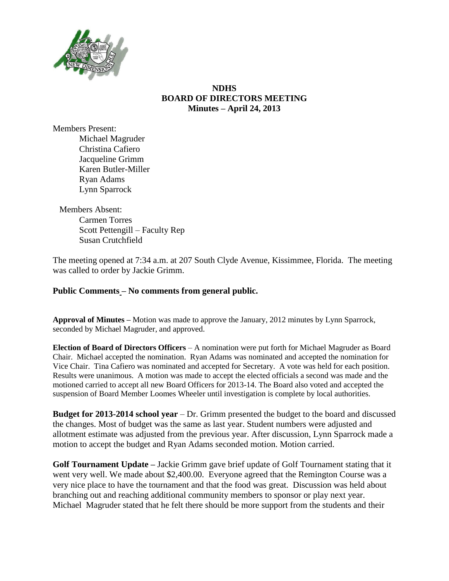

## **NDHS BOARD OF DIRECTORS MEETING Minutes – April 24, 2013**

Members Present: Michael Magruder Christina Cafiero Jacqueline Grimm Karen Butler-Miller Ryan Adams Lynn Sparrock

Members Absent: Carmen Torres Scott Pettengill – Faculty Rep Susan Crutchfield

The meeting opened at 7:34 a.m. at 207 South Clyde Avenue, Kissimmee, Florida. The meeting was called to order by Jackie Grimm.

## **Public Comments – No comments from general public.**

**Approval of Minutes –** Motion was made to approve the January, 2012 minutes by Lynn Sparrock, seconded by Michael Magruder, and approved.

**Election of Board of Directors Officers** – A nomination were put forth for Michael Magruder as Board Chair. Michael accepted the nomination. Ryan Adams was nominated and accepted the nomination for Vice Chair. Tina Cafiero was nominated and accepted for Secretary. A vote was held for each position. Results were unanimous. A motion was made to accept the elected officials a second was made and the motioned carried to accept all new Board Officers for 2013-14. The Board also voted and accepted the suspension of Board Member Loomes Wheeler until investigation is complete by local authorities.

**Budget for 2013-2014 school year** – Dr. Grimm presented the budget to the board and discussed the changes. Most of budget was the same as last year. Student numbers were adjusted and allotment estimate was adjusted from the previous year. After discussion, Lynn Sparrock made a motion to accept the budget and Ryan Adams seconded motion. Motion carried.

**Golf Tournament Update –** Jackie Grimm gave brief update of Golf Tournament stating that it went very well. We made about \$2,400.00. Everyone agreed that the Remington Course was a very nice place to have the tournament and that the food was great. Discussion was held about branching out and reaching additional community members to sponsor or play next year. Michael Magruder stated that he felt there should be more support from the students and their